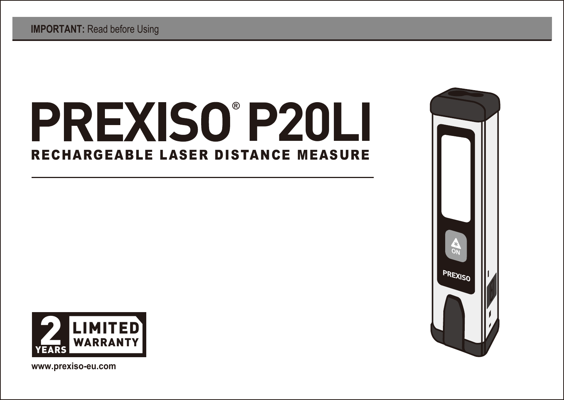# **® P20LI**RECHARGEABLE LASER DISTANCE MEASURE





**www.prexiso-eu.com**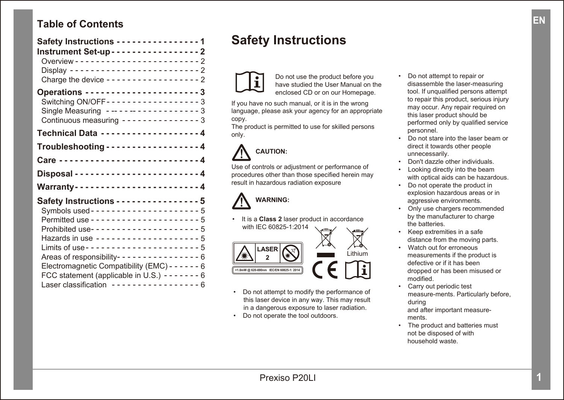## **Table of Contents**

| Safety Instructions - - - - - - - - - - - - - - - 1<br>Instrument Set-up - - - - - - - - - - - - - - - - 2 |
|------------------------------------------------------------------------------------------------------------|
|                                                                                                            |
| Charge the device ------------------- 2                                                                    |
|                                                                                                            |
| Switching ON/OFF - - - - - - - - - - - - - - - - - 3                                                       |
| Single Measuring ------------------3<br>Continuous measuring --------------- 3                             |
| Technical Data -------------------4                                                                        |
| Troubleshooting - - - - - - - - - - - - - - - - - 4                                                        |
|                                                                                                            |
|                                                                                                            |
| Warranty-----------------------4                                                                           |
| Safety Instructions - - - - - - - - - - - - - - - 5                                                        |
|                                                                                                            |
|                                                                                                            |
| Prohibited use---------------------5                                                                       |
| Hazards in use --------------------- 5                                                                     |
|                                                                                                            |
| Areas of responsibility--------------- 6                                                                   |
| Electromagnetic Compatibility (EMC) - - - - - - 6                                                          |
| FCC statement (applicable in U.S.) - - - - - - - 6                                                         |
| Laser classification ----------------- 6                                                                   |

## **Safety Instructions**



Do not use the product before you have studied the User Manual on the enclosed CD or on our Homepage.

If you have no such manual, or it is in the wrong language, please ask your agency for an appropriate copy.

The product is permitted to use for skilled persons only.

## **CAUTION:**

Use of controls or adjustment or performance of procedures other than those specified herein may result in hazardous radiation exposure



• It is a **Class 2** laser product in accordance with IEC 60825-1:2014

**Inm IEC/EN 60825-1** Lithium

- Do not attempt to modify the performance of this laser device in any way. This may result in a dangerous exposure to laser radiation.
- Do not operate the tool outdoors.
- Do not attempt to repair or disassemble the laser-measuring tool. If unqualified persons attempt to repair this product, serious injury may occur. Any repair required on this laser product should be performed only by qualified service personnel.
- Do not stare into the laser beam or direct it towards other people unnecessarily.
- Don't dazzle other individuals.
- Looking directly into the beam with optical aids can be hazardous.
- Do not operate the product in explosion hazardous areas or in aggressive environments.
- Only use chargers recommended by the manufacturer to charge the batteries.
- Keep extremities in a safe distance from the moving parts.
- Watch out for erroneous measurements if the product is defective or if it has been dropped or has been misused or modified.
- Carry out periodic test measure-ments. Particularly before, during and after important measure ments.
- The product and batteries must not be disposed of with household waste.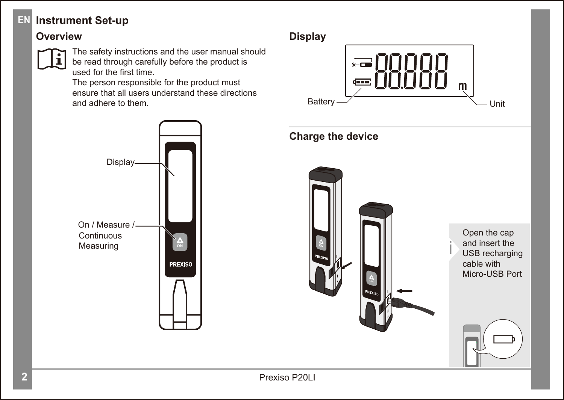## **EN Instrument Set-up**

## **Overview Display**



The safety instructions and the user manual should be read through carefully before the product is used for the first time.

The person responsible for the product must ensure that all users understand these directions and adhere to them.



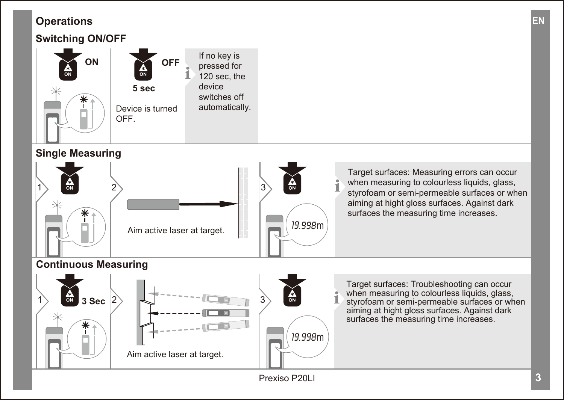## **Operations EN**

## **Switching ON/OFF**



## **Single Measuring**



Target surfaces: Measuring errors can occur when measuring to colourless liquids, glass, styrofoam or semi-permeable surfaces or when aiming at hight gloss surfaces. Against dark surfaces the measuring time increases.

## **Continuous Measuring**

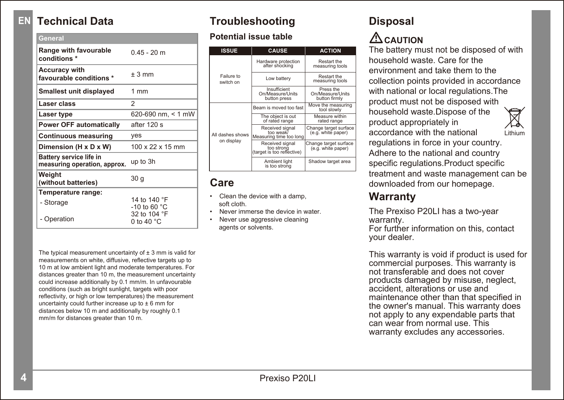#### **EN Technical Data**

| General                                                 |                                      |
|---------------------------------------------------------|--------------------------------------|
| Range with favourable<br>conditions *                   | $0.45 - 20$ m                        |
| <b>Accuracy with</b><br>favourable conditions *         | $+3$ mm                              |
| Smallest unit displayed                                 | 1mm                                  |
| Laser class                                             | $\overline{2}$                       |
| Laser type                                              | 620-690 nm, < 1 mW                   |
| <b>Power OFF automatically</b>                          | after 120 s                          |
| <b>Continuous measuring</b>                             | yes                                  |
| Dimension (H x D x W)                                   | $100 \times 22 \times 15$ mm         |
| Battery service life in<br>measuring operation, approx. | up to 3h                             |
| Weight<br>(without batteries)                           | 30 <sub>q</sub>                      |
| Temperature range:                                      |                                      |
| - Storage                                               | 14 to 140 °F<br>-10 to 60 °C         |
| - Operation                                             | 32 to 104 °F<br>0 to 40 $^{\circ}$ C |
|                                                         |                                      |

**Troubleshooting**

#### **Potential issue table**

| <b>ISSUE</b>                   | <b>CAUSE</b>                                                | <b>ACTION</b>                                  |
|--------------------------------|-------------------------------------------------------------|------------------------------------------------|
| Failure to<br>switch on        | Hardware protection<br>after shocking                       | Restart the<br>measuring tools                 |
|                                | Low battery                                                 | Restart the<br>measuring tools                 |
|                                | Insufficient<br>On/Measure/Units<br>button press            | Press the<br>On/Measure/Units<br>button firmly |
| All dashes shows<br>on display | Beam is moved too fast                                      | Move the measuring<br>tool slowly              |
|                                | The object is out<br>of rated range                         | Measure within<br>rated range                  |
|                                | Received signal<br>ton weak?<br>Measuring time too long     | Change target surface<br>(e.g. white paper)    |
|                                | Received signal<br>too strona<br>(target is too reflective) | Change target surface<br>(e.g. white paper)    |
|                                | Ambient light<br>is too strong                              | Shadow target area                             |

## **Care**

- Clean the device with a damp, soft cloth.
- Never immerse the device in water.
- Never use aggressive cleaning agents or solvents.

The typical measurement uncertainty of  $\pm$  3 mm is valid for measurements on white, diffusive, reflective targets up to 10 m at low ambient light and moderate temperatures. For distances greater than 10 m, the measurement uncertainty could increase additionally by 0.1 mm/m. In unfavourable conditions (such as bright sunlight, targets with poor reflectivity, or high or low temperatures) the measurement uncertainty could further increase up to ± 6 mm for distances below 10 m and additionally by roughly 0.1 mm/m for distances greater than 10 m.

## **Disposal CAUTION**

The battery must not be disposed of with household waste. Care for the environment and take them to the collection points provided in accordance with national or local regulations. The product must not be disposed with household waste.Dispose of the product appropriately in accordance with the national



regulations in force in your country. Adhere to the national and country specific regulations.Product specific treatment and waste management can be downloaded from our homepage.

## **Warranty**

The Prexiso P20LI has a two-year warranty.

For further information on this, contact your dealer.

This warranty is void if product is used for commercial purposes. This warranty is not transferable and does not cover products damaged by misuse, neglect, accident, alterations or use and maintenance other than that specified in the owner's manual. This warranty does not apply to any expendable parts that can wear from normal use. This warranty excludes any accessories.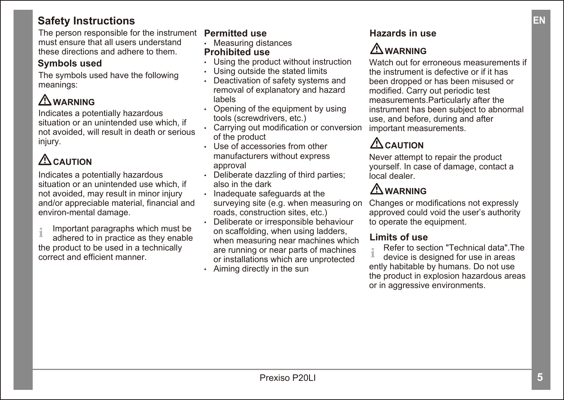## $S$ afety **Instructions**

The person responsible for the instrument **Permitted use** must ensure that all users understand these directions and adhere to them.

## **Symbols used**

The symbols used have the following meanings:

## **WARNING**

Indicates a potentially hazardous situation or an unintended use which, if not avoided, will result in death or serious injury.

## **CAUTION**

Indicates a potentially hazardous situation or an unintended use which, if not avoided, may result in minor injury and/or appreciable material, financial and environ-mental damage.

 Important paragraphs which must be the product to be used in a technically correct and efficient manner.

- Measuring distances **Prohibited use**
- Using the product without instruction
- Using outside the stated limits
- Deactivation of safety systems and removal of explanatory and hazard labels
- Opening of the equipment by using tools (screwdrivers, etc.)
- Carrying out modification or conversion of the product
- Use of accessories from other manufacturers without express approval
- Deliberate dazzling of third parties: also in the dark
- Inadequate safeguards at the surveying site (e.g. when measuring on roads, construction sites, etc.)
- **Limportant paragraphs which must be dimediated on scaffolding, when using ladders, <b>Limits of use**<br>Limits of use • Deliberate or irresponsible behaviour on scaffolding, when using ladders, when measuring near machines which are running or near parts of machines or installations which are unprotected
	- Aiming directly in the sun

## **Hazards in use**

## **WARNING**

Watch out for erroneous measurements if the instrument is defective or if it has been dropped or has been misused or modified. Carry out periodic test measurements. Particularly after the instrument has been subject to abnormal use, and before, during and after important measurements.

## **CAUTION**

Never attempt to repair the product yourself. In case of damage, contact a local dealer.

## **WARNING**

Changes or modifications not expressly approved could void the user's authority to operate the equipment.

Refer to section "Technical data".The

**i** device is designed for use in areas ently habitable by humans. Do not use the product in explosion hazardous areas or in aggressive environments.